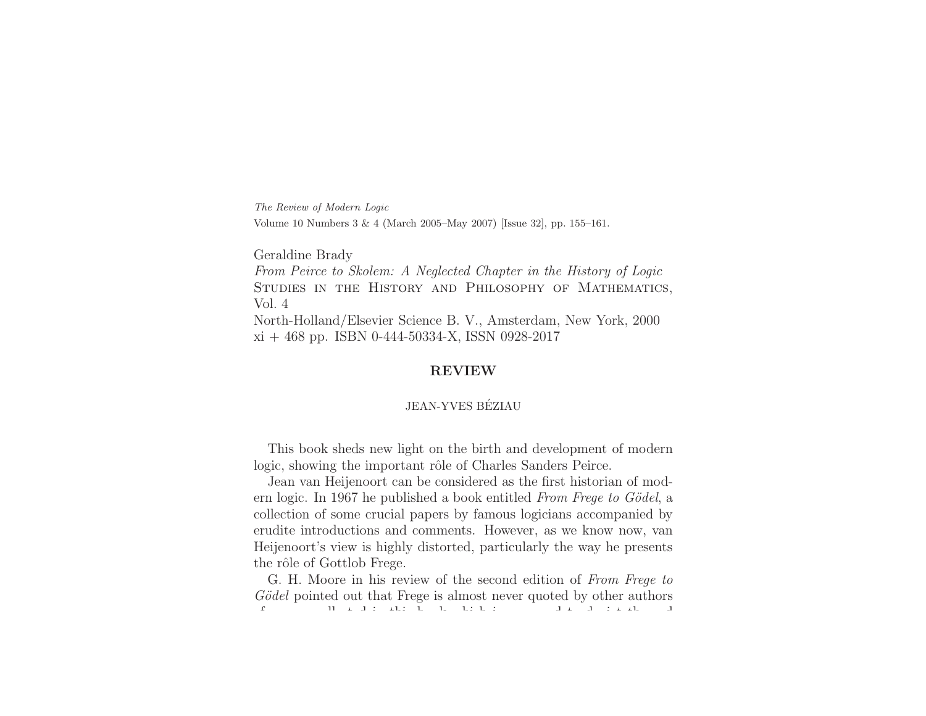The Review of Modern Logic Volume <sup>10</sup> Numbers <sup>3</sup> & <sup>4</sup> (March 2005–May 2007) [Issue 32], pp. 155–161.

Geraldine Brady

From Peirce to Skolem: A Neglected Chapter in the History of Logic STUDIES IN THE HISTORY AND PHILOSOPHY OF MATHEMATICS, Vol. 4North-Holland/Elsevier Science B. V., Amsterdam, New York, <sup>2000</sup>

 $xi + 468$  pp. ISBN 0-444-50334-X, ISSN 0928-2017

# **REVIEW**

# JEAN-YVES BEZIAU´

This book sheds new light on the birth and development of modern logic, showing the important rôle of Charles Sanders Peirce.

Jean van Heijenoort can be considered as the first historian of modern logic. In 1967 he published <sup>a</sup> book entitled *From Frege to G¨odel*, <sup>a</sup> collection of some crucial papers by famous logicians accompanied by erudite introductions and comments. However, as we know now, van Heijenoort's view is highly distorted, particularly the way he presents the rôle of Gottlob Frege.

G. H. Moore in his review of the second edition of *From Frege to Gödel* pointed out that Frege is almost never quoted by other authors f ll t d i thi b k hi h i d t d i t th d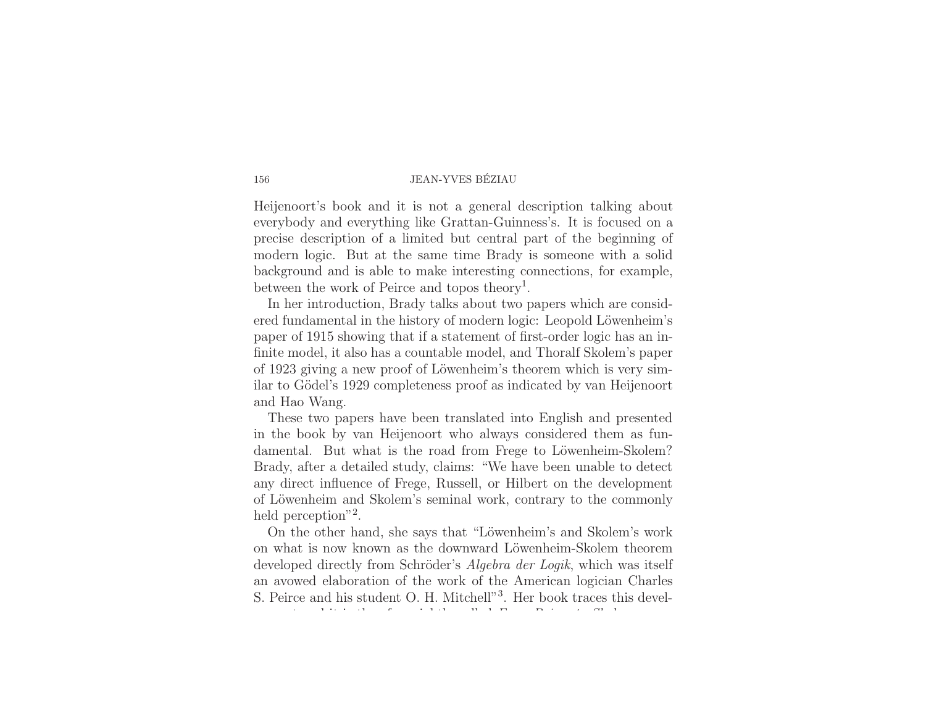## 156 JEAN-YVES BEZIAU ´

Heijenoort's book and it is not <sup>a</sup> general description talking about everybody and everything like Grattan-Guinness's. It is focused on <sup>a</sup> precise description of <sup>a</sup> limited but central part of the beginning of modern logic. But at the same time Brady is someone with <sup>a</sup> solid background and is able to make interesting connections, for example, between the work of Peirce and topos theory<sup>1</sup>.

In her introduction, Brady talks about two papers which are considered fundamental in the history of modern logic: Leopold Löwenheim's paper of 1915 showing that if <sup>a</sup> statement of first-order logic has an infinite model, it also has <sup>a</sup> countable model, and Thoralf Skolem's paper of 1923 giving a new proof of Löwenheim's theorem which is very similar to Gödel's 1929 completeness proof as indicated by van Heijenoort and Hao Wang.

These two papers have been translated into English and presented in the book by van Heijenoort who always considered them as fundamental. But what is the road from Frege to Löwenheim-Skolem? Brady, after <sup>a</sup> detailed study, claims: "We have been unable to detect any direct influence of Frege, Russell, or Hilbert on the development of Löwenheim and Skolem's seminal work, contrary to the commonly held perception"<sup>2</sup>.

On the other hand, she says that "Löwenheim's and Skolem's work on what is now known as the downward Löwenheim-Skolem theorem developed directly from Schröder's *Algebra der Logik*, which was itself an avowed elaboration of the work of the American logician Charles S. Peirce and his student O. H. Mitchell"<sup>3</sup>. Her book traces this develt d i th f i htl ll d i htl ll d i htl ll d i htl ll d i htl ll d i htl ll d i htl ll d i htl ll d i htl ll d i *F P i t Sk l*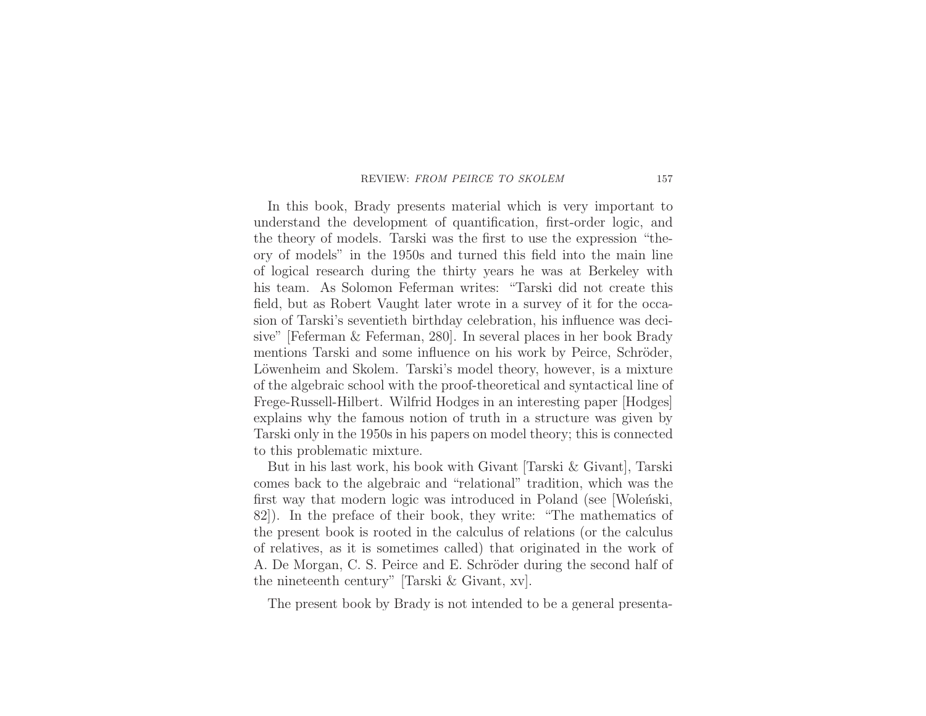#### REVIEW: FROM PEIRCE TO SKOLEM

In this book, Brady presents material which is very important to understand the development of quantification, first-order logic, and the theory of models. Tarski was the first to use the expression "theory of models" in the 1950s and turned this field into the main line of logical research during the thirty years he was at Berkeley with his team. As Solomon Feferman writes: "Tarski did not create thisfield, but as Robert Vaught later wrote in <sup>a</sup> survey of it for the occasion of Tarski's seventieth birthday celebration, his influence was decisive" [Feferman & Feferman, 280]. In several <sup>p</sup>laces in her book Brady mentions Tarski and some influence on his work by Peirce, Schröder, Löwenheim and Skolem. Tarski's model theory, however, is a mixture of the algebraic school with the proof-theoretical and syntactical line of Frege-Russell-Hilbert. Wilfrid Hodges in an interesting paper [Hodges] explains why the famous notion of truth in <sup>a</sup> structure was given by Tarski only in the 1950s in his papers on model theory; this is connected to this problematic mixture.

But in his last work, his book with Givant [Tarski & Givant], Tarski comes back to the algebraic and "relational" tradition, which was the first way that modern logic was introduced in Poland (see [Wolenski, 82]). In the preface of their book, they write: "The mathematics of the present book is rooted in the calculus of relations (or the calculus of relatives, as it is sometimes called) that originated in the work of A. De Morgan, C. S. Peirce and E. Schröder during the second half of the nineteenth century" [Tarski & Givant, xv].

The present book by Brady is not intended to be <sup>a</sup> general presenta-

157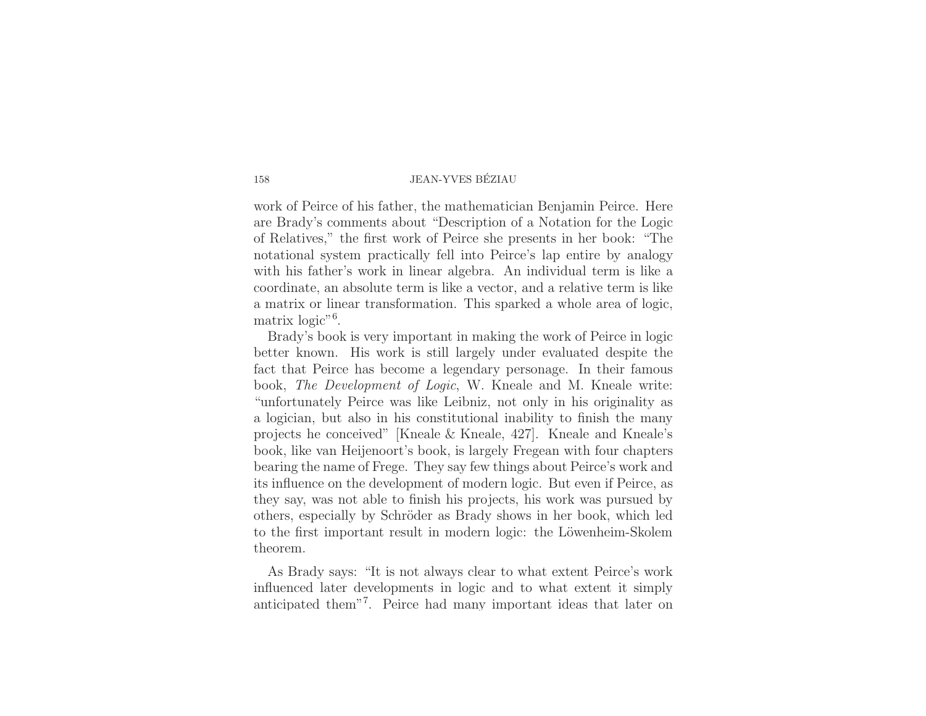## 158 JEAN-YVES BEZIAU ´

work of Peirce of his father, the mathematician Benjamin Peirce. Here are Brady's comments about "Description of <sup>a</sup> Notation for the Logic of Relatives," the first work of Peirce she presents in her book: "The notational system practically fell into Peirce's lap entire by analogy with his father's work in linear algebra. An individual term is like <sup>a</sup> coordinate, an absolute term is like <sup>a</sup> vector, and <sup>a</sup> relative term is like <sup>a</sup> matrix or linear transformation. This sparked <sup>a</sup> whole area of logic, matrix logic"<sup>6</sup>.

Brady's book is very important in making the work of Peirce in logic better known. His work is still largely under evaluated despite the fact that Peirce has become <sup>a</sup> legendary personage. In their famous book, *The Development of Logic*, W. Kneale and M. Kneale write: "unfortunately Peirce was like Leibniz, not only in his originality as <sup>a</sup> logician, but also in his constitutional inability to finish the many projects he conceived" [Kneale & Kneale, 427]. Kneale and Kneale's book, like van Heijenoort's book, is largely Fregean with four chapters bearing the name of Frege. They say few things about Peirce's work and its influence on the development of modern logic. But even if Peirce, as they say, was not able to finish his projects, his work was pursued by others, especially by Schröder as Brady shows in her book, which led to the first important result in modern logic: the Löwenheim-Skolem theorem.

As Brady says: "It is not always clear to what extent Peirce's work influenced later developments in logic and to what extent it simply antici pated them"<sup>7</sup>. Peirce had man y im portant ideas that later on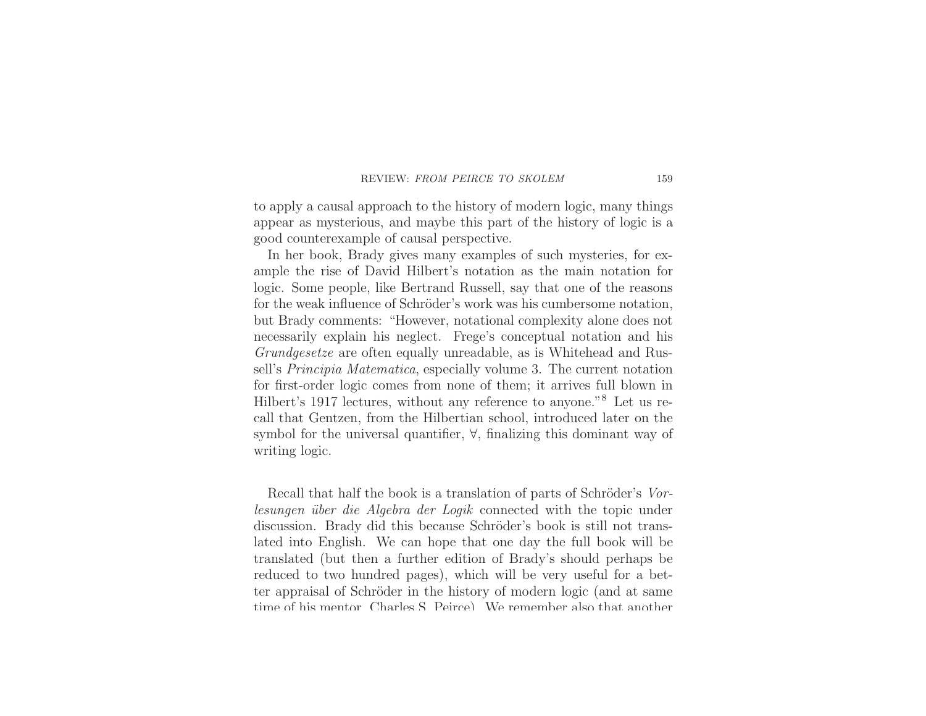### REVIEW: FROM PEIRCE TO SKOLEM

to apply <sup>a</sup> causal approach to the history of modern logic, many things appear as mysterious, and maybe this part of the history of logic is <sup>a</sup> good counterexample of causal perspective.

In her book, Brady gives many examples of such mysteries, for example the rise of David Hilbert's notation as the main notation for logic. Some people, like Bertrand Russell, say that one of the reasons for the weak influence of Schröder's work was his cumbersome notation, but Brady comments: "However, notational complexity alone does not necessarily explain his neglect. Frege's conceptual notation and his *Grundgesetze* are often equally unreadable, as is Whitehead and Russell's *Principia Matematica*, especially volume 3. The current notation for first-order logic comes from none of them; it arrives full blown in Hilbert's <sup>1917</sup> lectures, without any reference to anyone."<sup>8</sup> Let us recall that Gentzen, from the Hilbertian school, introduced later on the symbol for the universal quantifier, ∀, finalizing this dominant way of writing logic.

Recall that half the book is a translation of parts of Schröder's *Vorlesungen ¨uber die Algebra der Logik* connected with the topic under discussion. Brady did this because Schröder's book is still not translated into English. We can hope that one day the full book will be translated (but then <sup>a</sup> further edition of Brady's should perhaps be reduced to two hundred pages), which will be very useful for <sup>a</sup> better appraisal of Schröder in the history of modern logic (and at same time of his mentor Charles S Peirce) We remember also that another

159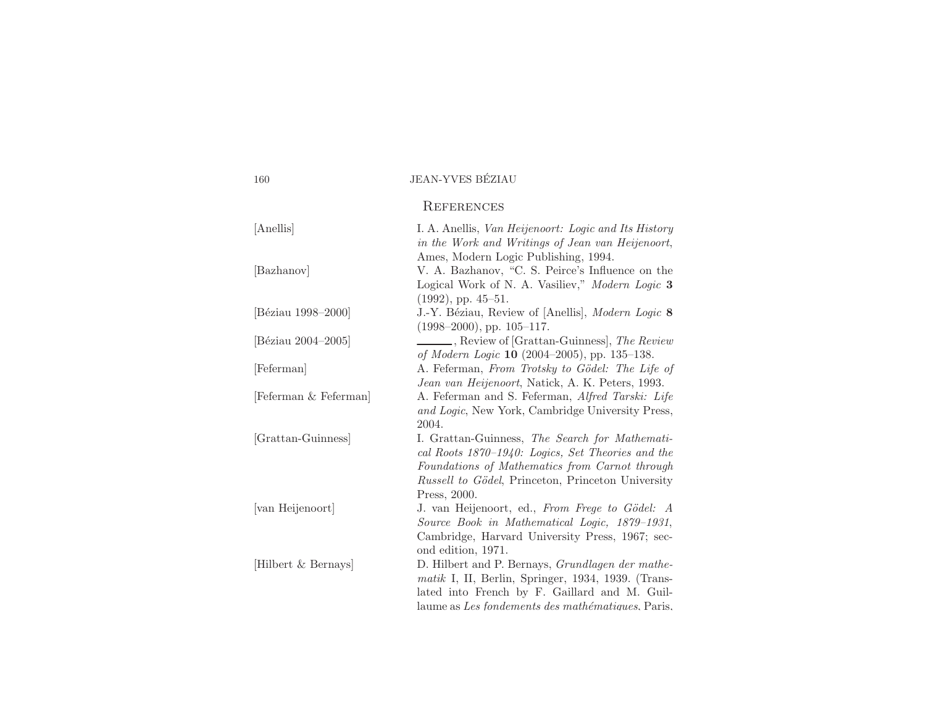| 160                   | <b>JEAN-YVES BÉZIAU</b>                                                                                                                                                                                                               |
|-----------------------|---------------------------------------------------------------------------------------------------------------------------------------------------------------------------------------------------------------------------------------|
|                       | <b>REFERENCES</b>                                                                                                                                                                                                                     |
| [Anellis]             | I. A. Anellis, Van Heijenoort: Logic and Its History<br>in the Work and Writings of Jean van Heijenoort,                                                                                                                              |
| [Bazhanov]            | Ames, Modern Logic Publishing, 1994.<br>V. A. Bazhanov, "C. S. Peirce's Influence on the<br>Logical Work of N. A. Vasiliev," Modern Logic 3<br>$(1992)$ , pp. 45-51.                                                                  |
| [Béziau 1998-2000]    | J.-Y. Béziau, Review of [Anellis], Modern Logic 8<br>$(1998-2000)$ , pp. 105-117.                                                                                                                                                     |
| [Béziau 2004-2005]    | Review of [Grattan-Guinness], The Review<br>of Modern Logic 10 (2004–2005), pp. 135–138.                                                                                                                                              |
| [Feferman]            | A. Feferman, From Trotsky to Gödel: The Life of<br>Jean van Heijenoort, Natick, A. K. Peters, 1993.                                                                                                                                   |
| [Feferman & Feferman] | A. Feferman and S. Feferman, Alfred Tarski: Life<br>and Logic, New York, Cambridge University Press,<br>2004.                                                                                                                         |
| [Grattan-Guinness]    | I. Grattan-Guinness, The Search for Mathemati-<br>cal Roots $1870-1940$ : Logics, Set Theories and the<br>Foundations of Mathematics from Carnot through<br><i>Russell to Gödel</i> , Princeton, Princeton University<br>Press, 2000. |
| [van Heijenoort]      | J. van Heijenoort, ed., From Frege to Gödel: A<br>Source Book in Mathematical Logic, 1879-1931,<br>Cambridge, Harvard University Press, 1967; sec-<br>ond edition, 1971.                                                              |
| Hilbert & Bernays     | D. Hilbert and P. Bernays, <i>Grundlagen der mathe-</i><br>matik I, II, Berlin, Springer, 1934, 1939. (Trans-<br>lated into French by F. Gaillard and M. Guil-<br>laume as Les fondements des mathématiques. Paris,                   |